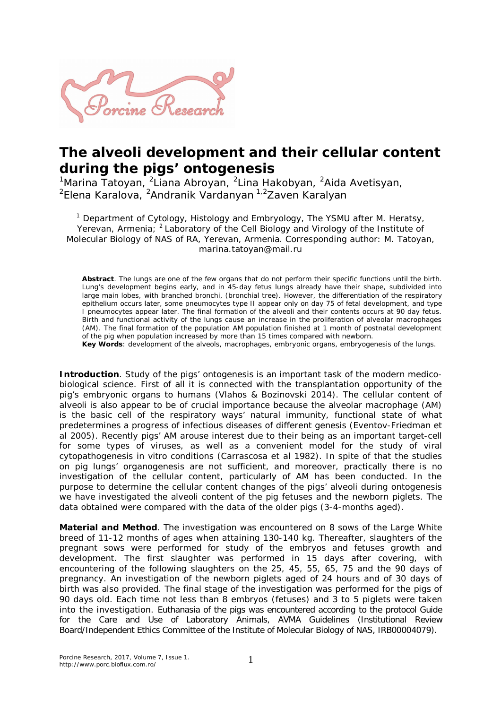

## **The alveoli development and their cellular content during the pigs' ontogenesis**

<sup>1</sup>Marina Tatoyan, <sup>2</sup>Liana Abroyan, <sup>2</sup>Lina Hakobyan, <sup>2</sup>Aida Avetisyan, <sup>2</sup>Elena Karalova, <sup>2</sup>Andranik Vardanyan <sup>1,2</sup>Zaven Karalyan

<sup>1</sup> Department of Cytology, Histology and Embryology, The YSMU after M. Heratsy, Yerevan, Armenia; <sup>2</sup> Laboratory of the Cell Biology and Virology of the Institute of Molecular Biology of NAS of RA, Yerevan, Armenia. Corresponding author: M. Tatoyan, marina.tatoyan@mail.ru

**Abstract**. The lungs are one of the few organs that do not perform their specific functions until the birth. Lung's development begins early, and in 45-day fetus lungs already have their shape, subdivided into large main lobes, with branched bronchi, (bronchial tree). However, the differentiation of the respiratory epithelium occurs later, some pneumocytes type II appear only on day 75 of fetal development, and type I pneumocytes appear later. The final formation of the alveoli and their contents occurs at 90 day fetus. Birth and functional activity of the lungs cause an increase in the proliferation of alveolar macrophages (AM). The final formation of the population AM population finished at 1 month of postnatal development of the pig when population increased by more than 15 times compared with newborn.

**Key Words**: development of the alveols, macrophages, embryonic organs, embryogenesis of the lungs.

**Introduction**. Study of the pigs' ontogenesis is an important task of the modern medicobiological science. First of all it is connected with the transplantation opportunity of the pig's embryonic organs to humans (Vlahos & Bozinovski 2014). The cellular content of alveoli is also appear to be of crucial importance because the alveolar macrophage (AM) is the basic cell of the respiratory ways' natural immunity, functional state of what predetermines a progress of infectious diseases of different genesis (Eventov-Friedman et al 2005). Recently pigs' AM arouse interest due to their being as an important target-cell for some types of viruses, as well as a convenient model for the study of viral cytopathogenesis in vitro conditions (Carrascosa et al 1982). In spite of that the studies on pig lungs' organogenesis are not sufficient, and moreover, practically there is no investigation of the cellular content, particularly of AM has been conducted. In the purpose to determine the cellular content changes of the pigs' alveoli during ontogenesis we have investigated the alveoli content of the pig fetuses and the newborn piglets. The data obtained were compared with the data of the older pigs (3-4-months aged).

**Material and Method**. The investigation was encountered on 8 sows of the Large White breed of 11-12 months of ages when attaining 130-140 kg. Thereafter, slaughters of the pregnant sows were performed for study of the embryos and fetuses growth and development. The first slaughter was performed in 15 days after covering, with encountering of the following slaughters on the 25, 45, 55, 65, 75 and the 90 days of pregnancy. An investigation of the newborn piglets aged of 24 hours and of 30 days of birth was also provided. The final stage of the investigation was performed for the pigs of 90 days old. Each time not less than 8 embryos (fetuses) and 3 to 5 piglets were taken into the investigation. Euthanasia of the pigs was encountered according to the protocol Guide for the Care and Use of Laboratory Animals, AVMA Guidelines (Institutional Review Board/Independent Ethics Committee of the Institute of Molecular Biology of NAS, IRB00004079).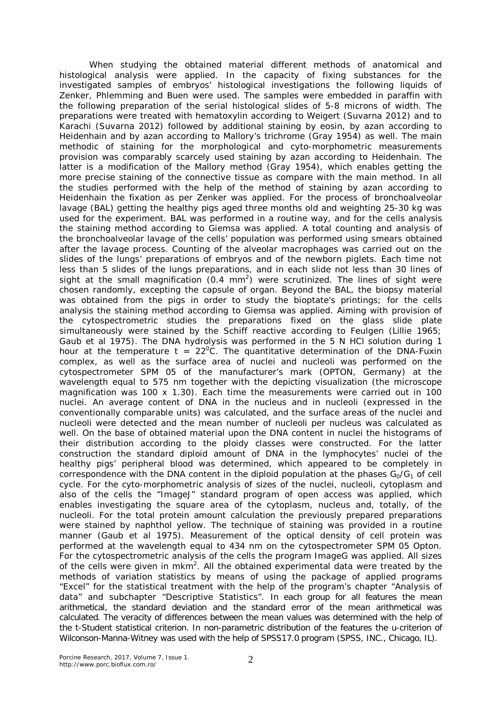When studying the obtained material different methods of anatomical and histological analysis were applied. In the capacity of fixing substances for the investigated samples of embryos' histological investigations the following liquids of Zenker, Phlemming and Buen were used. The samples were embedded in paraffin with the following preparation of the serial histological slides of 5-8 microns of width. The preparations were treated with hematoxylin according to Weigert (Suvarna 2012) and to Karachi (Suvarna 2012) followed by additional staining by eosin, by azan according to Heidenhain and by azan according to Mallory's trichrome (Gray 1954) as well. The main methodic of staining for the morphological and cyto-morphometric measurements provision was comparably scarcely used staining by azan according to Heidenhain. The latter is a modification of the Mallory method (Gray 1954), which enables getting the more precise staining of the connective tissue as compare with the main method. In all the studies performed with the help of the method of staining by azan according to Heidenhain the fixation as per Zenker was applied. For the process of bronchoalveolar lavage (BAL) getting the healthy pigs aged three months old and weighting 25-30 kg was used for the experiment. BAL was performed in a routine way, and for the cells analysis the staining method according to Giemsa was applied. A total counting and analysis of the bronchoalveolar lavage of the cells' population was performed using smears obtained after the lavage process. Counting of the alveolar macrophages was carried out on the slides of the lungs' preparations of embryos and of the newborn piglets. Each time not less than 5 slides of the lungs preparations, and in each slide not less than 30 lines of sight at the small magnification (0.4 mm<sup>2</sup>) were scrutinized. The lines of sight were chosen randomly, excepting the capsule of organ. Beyond the BAL, the biopsy material was obtained from the pigs in order to study the bioptate's printings; for the cells analysis the staining method according to Giemsa was applied. Aiming with provision of the cytospectrometric studies the preparations fixed on the glass slide plate simultaneously were stained by the Schiff reactive according to Feulgen (Lillie 1965; Gaub et al 1975). The DNA hydrolysis was performed in the 5 N HCl solution during 1 hour at the temperature  $t = 22^{\circ}$ C. The quantitative determination of the DNA-Fuxin complex, as well as the surface area of nuclei and nucleoli was performed on the cytospectrometer SPM 05 of the manufacturer's mark (OPTON, Germany) at the wavelength equal to 575 nm together with the depicting visualization (the microscope magnification was 100 x 1.30). Each time the measurements were carried out in 100 nuclei. An average content of DNA in the nucleus and in nucleoli (expressed in the conventionally comparable units) was calculated, and the surface areas of the nuclei and nucleoli were detected and the mean number of nucleoli per nucleus was calculated as well. On the base of obtained material upon the DNA content in nuclei the histograms of their distribution according to the ploidy classes were constructed. For the latter construction the standard diploid amount of DNA in the lymphocytes' nuclei of the healthy pigs' peripheral blood was determined, which appeared to be completely in correspondence with the DNA content in the diploid population at the phases  $G_0/G_1$  of cell cycle. For the cyto-morphometric analysis of sizes of the nuclei, nucleoli, cytoplasm and also of the cells the "ImageJ" standard program of open access was applied, which enables investigating the square area of the cytoplasm, nucleus and, totally, of the nucleoli. For the total protein amount calculation the previously prepared preparations were stained by naphthol yellow. The technique of staining was provided in a routine manner (Gaub et al 1975). Measurement of the optical density of cell protein was performed at the wavelength equal to 434 nm on the cytospectrometer SPM 05 Opton. For the cytospectrometric analysis of the cells the program ImageG was applied. All sizes of the cells were given in mkm<sup>2</sup>. All the obtained experimental data were treated by the methods of variation statistics by means of using the package of applied programs "Excel" for the statistical treatment with the help of the program's chapter "Analysis of data" and subchapter "Descriptive Statistics". In each group for all features the mean arithmetical, the standard deviation and the standard error of the mean arithmetical was calculated. The veracity of differences between the mean values was determined with the help of the t-Student statistical criterion. In non-parametric distribution of the features the u-criterion of Wilconson-Manna-Witney was used with the help of SPSS17.0 program (SPSS, INC., Chicago, IL).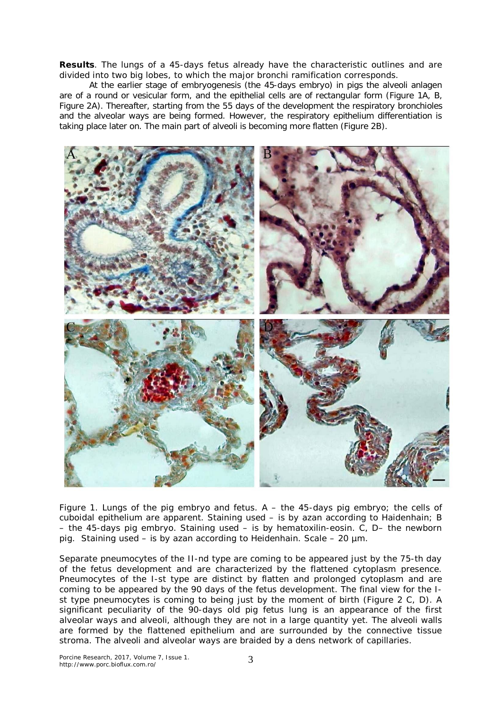**Results**. The lungs of a 45-days fetus already have the characteristic outlines and are divided into two big lobes, to which the major bronchi ramification corresponds.

At the earlier stage of embryogenesis (the 45-days embryo) in pigs the alveoli anlagen are of a round or vesicular form, and the epithelial cells are of rectangular form (Figure 1A, B, Figure 2A). Thereafter, starting from the 55 days of the development the respiratory bronchioles and the alveolar ways are being formed. However, the respiratory epithelium differentiation is taking place later on. The main part of alveoli is becoming more flatten (Figure 2B).



Figure 1. Lungs of the pig embryo and fetus. A – the 45-days pig embryo; the cells of cuboidal epithelium are apparent. Staining used – is by azan according to Haidenhain; B – the 45-days pig embryo. Staining used – is by hematoxilin-eosin. C, D– the newborn pig. Staining used – is by azan according to Heidenhain. Scale – 20 µm.

Separate pneumocytes of the II-nd type are coming to be appeared just by the 75-th day of the fetus development and are characterized by the flattened cytoplasm presence. Pneumocytes of the I-st type are distinct by flatten and prolonged cytoplasm and are coming to be appeared by the 90 days of the fetus development. The final view for the Ist type pneumocytes is coming to being just by the moment of birth (Figure 2 C, D). A significant peculiarity of the 90-days old pig fetus lung is an appearance of the first alveolar ways and alveoli, although they are not in a large quantity yet. The alveoli walls are formed by the flattened epithelium and are surrounded by the connective tissue stroma. The alveoli and alveolar ways are braided by a dens network of capillaries.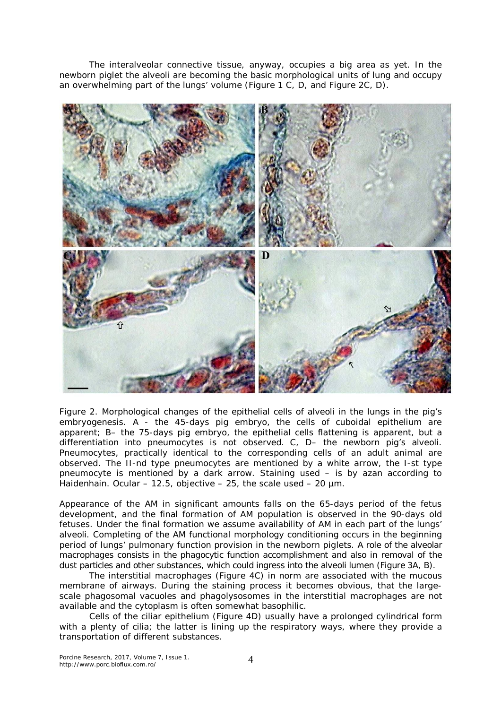The interalveolar connective tissue, anyway, occupies a big area as yet. In the newborn piglet the alveoli are becoming the basic morphological units of lung and occupy an overwhelming part of the lungs' volume (Figure 1 C, D, and Figure 2C, D).



Figure 2. Morphological changes of the epithelial cells of alveoli in the lungs in the pig's embryogenesis. A - the 45-days pig embryo, the cells of cuboidal epithelium are apparent; B– the 75-days pig embryo, the epithelial cells flattening is apparent, but a differentiation into pneumocytes is not observed. C, D– the newborn pig's alveoli. Pneumocytes, practically identical to the corresponding cells of an adult animal are observed. The II-nd type pneumocytes are mentioned by a white arrow, the I-st type pneumocyte is mentioned by a dark arrow. Staining used – is by azan according to Haidenhain. Ocular – 12.5, objective – 25, the scale used – 20  $\mu$ m.

Appearance of the AM in significant amounts falls on the 65-days period of the fetus development, and the final formation of AM population is observed in the 90-days old fetuses. Under the final formation we assume availability of AM in each part of the lungs' alveoli. Completing of the AM functional morphology conditioning occurs in the beginning period of lungs' pulmonary function provision in the newborn piglets. A role of the alveolar macrophages consists in the phagocytic function accomplishment and also in removal of the dust particles and other substances, which could ingress into the alveoli lumen (Figure 3A, B).

The interstitial macrophages (Figure 4C) in norm are associated with the mucous membrane of airways. During the staining process it becomes obvious, that the largescale phagosomal vacuoles and phagolysosomes in the interstitial macrophages are not available and the cytoplasm is often somewhat basophilic.

Cells of the ciliar epithelium (Figure 4D) usually have a prolonged cylindrical form with a plenty of cilia; the latter is lining up the respiratory ways, where they provide a transportation of different substances.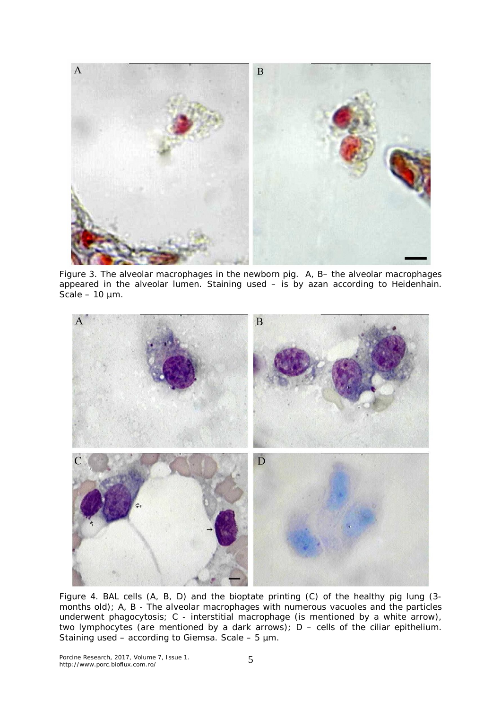

Figure 3. The alveolar macrophages in the newborn pig. A, B– the alveolar macrophages appeared in the alveolar lumen. Staining used – is by azan according to Heidenhain. Scale –  $10 \mu m$ .



Figure 4. BAL cells (A, B, D) and the bioptate printing (C) of the healthy pig lung (3 months old); A, B - The alveolar macrophages with numerous vacuoles and the particles underwent phagocytosis; C - interstitial macrophage (is mentioned by a white arrow), two lymphocytes (are mentioned by a dark arrows); D – cells of the ciliar epithelium. Staining used – according to Giemsa. Scale –  $5 \mu m$ .

Porcine Research, 2017, Volume 7, Issue 1. http://www.porc.bioflux.com.ro/ 5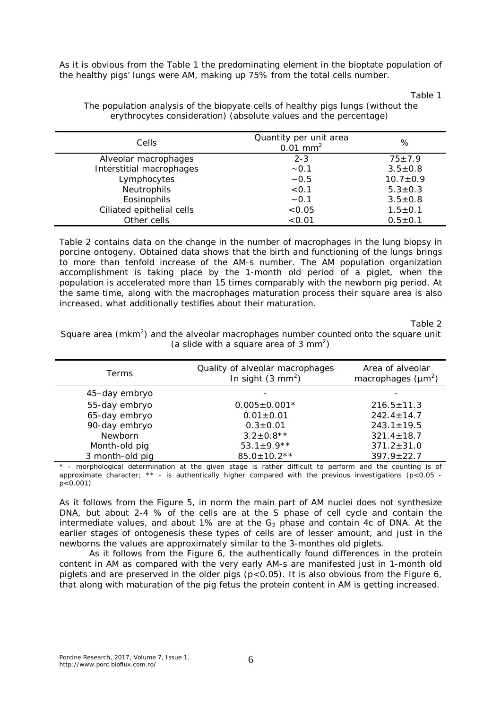As it is obvious from the Table 1 the predominating element in the bioptate population of the healthy pigs' lungs were AM, making up 75% from the total cells number.

Table 1

| Cells                     | Quantity per unit area<br>$0.01$ mm <sup>2</sup> | %              |
|---------------------------|--------------------------------------------------|----------------|
| Alveolar macrophages      | $2 - 3$                                          | $75 + 7.9$     |
| Interstitial macrophages  | $-0.1$                                           | $3.5 \pm 0.8$  |
| Lymphocytes               | $-0.5$                                           | $10.7 \pm 0.9$ |
| Neutrophils               | < 0.1                                            | $5.3 \pm 0.3$  |
| Eosinophils               | $-0.1$                                           | $3.5 \pm 0.8$  |
| Ciliated epithelial cells | < 0.05                                           | $1.5 \pm 0.1$  |
| Other cells               | < 0.01                                           | $0.5 \pm 0.1$  |
|                           |                                                  |                |

The population analysis of the biopyate cells of healthy pigs lungs (without the erythrocytes consideration) (absolute values and the percentage)

Table 2 contains data on the change in the number of macrophages in the lung biopsy in porcine ontogeny. Obtained data shows that the birth and functioning of the lungs brings to more than tenfold increase of the AM-s number. The AM population organization accomplishment is taking place by the 1-month old period of a piglet, when the population is accelerated more than 15 times comparably with the newborn pig period. At the same time, along with the macrophages maturation process their square area is also increased, what additionally testifies about their maturation.

Table 2

Square area ( $mkm^2$ ) and the alveolar macrophages number counted onto the square unit (a slide with a square area of  $3 \text{ mm}^2$ )

| Terms           | Quality of alveolar macrophages<br>In sight $(3 \text{ mm}^2)$                                                                                                                                                                 | Area of alveolar<br>macrophages $(\mu m^2)$ |
|-----------------|--------------------------------------------------------------------------------------------------------------------------------------------------------------------------------------------------------------------------------|---------------------------------------------|
| 45-day embryo   |                                                                                                                                                                                                                                |                                             |
| 55-day embryo   | $0.005 \pm 0.001*$                                                                                                                                                                                                             | $216.5 \pm 11.3$                            |
| 65-day embryo   | $0.01 \pm 0.01$                                                                                                                                                                                                                | $242.4 \pm 14.7$                            |
| 90-day embryo   | $0.3 \pm 0.01$                                                                                                                                                                                                                 | $243.1 \pm 19.5$                            |
| Newborn         | $3.2 \pm 0.8$ **                                                                                                                                                                                                               | $321.4 \pm 18.7$                            |
| Month-old pig   | 53.1 $\pm$ 9.9**                                                                                                                                                                                                               | $371.2 \pm 31.0$                            |
| 3 month-old pig | $85.0 \pm 10.2**$                                                                                                                                                                                                              | $397.9 \pm 22.7$                            |
|                 | , account the study of the contract of the series of the contract of the state of the series of the contract of the series of the series of the series of the series of the series of the series of the series of the series o |                                             |

- morphological determination at the given stage is rather difficult to perform and the counting is of approximate character; \*\* - is authentically higher compared with the previous investigations  $(p<0.05$  p<0.001)

As it follows from the Figure 5, in norm the main part of AM nuclei does not synthesize DNA, but about 2-4 % of the cells are at the S phase of cell cycle and contain the intermediate values, and about 1% are at the  $G_2$  phase and contain 4c of DNA. At the earlier stages of ontogenesis these types of cells are of lesser amount, and just in the newborns the values are approximately similar to the 3-monthes old piglets.

As it follows from the Figure 6, the authentically found differences in the protein content in AM as compared with the very early AM-s are manifested just in 1-month old piglets and are preserved in the older pigs ( $p < 0.05$ ). It is also obvious from the Figure 6, that along with maturation of the pig fetus the protein content in AM is getting increased.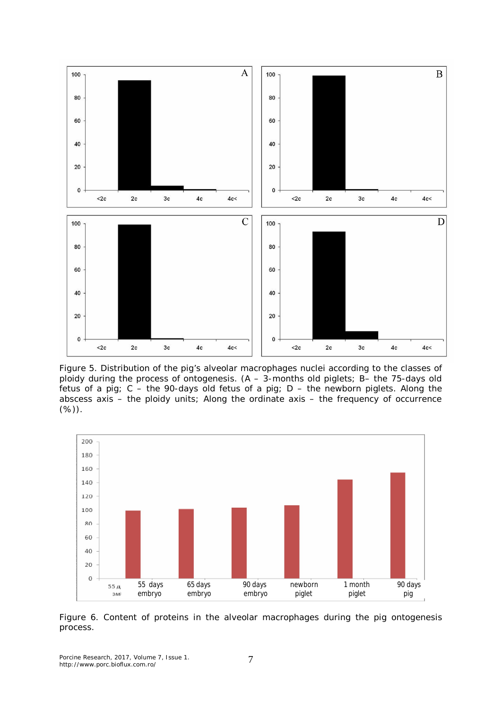

Figure 5. Distribution of the pig's alveolar macrophages nuclei according to the classes of ploidy during the process of ontogenesis. (A – 3-months old piglets; B– the 75-days old fetus of a pig;  $C -$  the 90-days old fetus of a pig;  $D -$  the newborn piglets. Along the abscess axis – the ploidy units; Along the ordinate axis – the frequency of occurrence (%)).



Figure 6. Content of proteins in the alveolar macrophages during the pig ontogenesis process.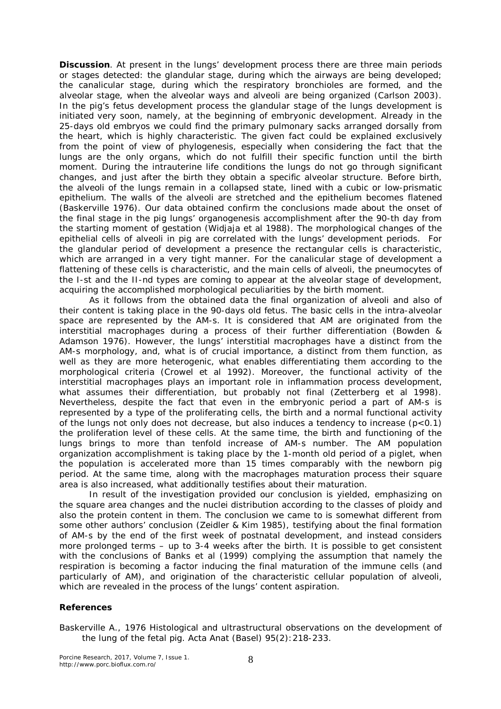**Discussion**. At present in the lungs' development process there are three main periods or stages detected: the glandular stage, during which the airways are being developed; the canalicular stage, during which the respiratory bronchioles are formed, and the alveolar stage, when the alveolar ways and alveoli are being organized (Carlson 2003). In the pig's fetus development process the glandular stage of the lungs development is initiated very soon, namely, at the beginning of embryonic development. Already in the 25-days old embryos we could find the primary pulmonary sacks arranged dorsally from the heart, which is highly characteristic. The given fact could be explained exclusively from the point of view of phylogenesis, especially when considering the fact that the lungs are the only organs, which do not fulfill their specific function until the birth moment. During the intrauterine life conditions the lungs do not go through significant changes, and just after the birth they obtain a specific alveolar structure. Before birth, the alveoli of the lungs remain in a collapsed state, lined with a cubic or low-prismatic epithelium. The walls of the alveoli are stretched and the epithelium becomes flatened (Baskerville 1976). Our data obtained confirm the conclusions made about the onset of the final stage in the pig lungs' organogenesis accomplishment after the 90-th day from the starting moment of gestation (Widjaja et al 1988). The morphological changes of the epithelial cells of alveoli in pig are correlated with the lungs' development periods. For the glandular period of development a presence the rectangular cells is characteristic, which are arranged in a very tight manner. For the canalicular stage of development a flattening of these cells is characteristic, and the main cells of alveoli, the pneumocytes of the I-st and the II-nd types are coming to appear at the alveolar stage of development, acquiring the accomplished morphological peculiarities by the birth moment.

As it follows from the obtained data the final organization of alveoli and also of their content is taking place in the 90-days old fetus. The basic cells in the intra-alveolar space are represented by the AM-s. It is considered that AM are originated from the interstitial macrophages during a process of their further differentiation (Bowden & Adamson 1976). However, the lungs' interstitial macrophages have a distinct from the AM-s morphology, and, what is of crucial importance, a distinct from them function, as well as they are more heterogenic, what enables differentiating them according to the morphological criteria (Crowel et al 1992). Moreover, the functional activity of the interstitial macrophages plays an important role in inflammation process development, what assumes their differentiation, but probably not final (Zetterberg et al 1998). Nevertheless, despite the fact that even in the embryonic period a part of AM-s is represented by a type of the proliferating cells, the birth and a normal functional activity of the lungs not only does not decrease, but also induces a tendency to increase  $(p<0.1)$ the proliferation level of these cells. At the same time, the birth and functioning of the lungs brings to more than tenfold increase of AM-s number. The AM population organization accomplishment is taking place by the 1-month old period of a piglet, when the population is accelerated more than 15 times comparably with the newborn pig period. At the same time, along with the macrophages maturation process their square area is also increased, what additionally testifies about their maturation.

In result of the investigation provided our conclusion is yielded, emphasizing on the square area changes and the nuclei distribution according to the classes of ploidy and also the protein content in them. The conclusion we came to is somewhat different from some other authors' conclusion (Zeidler & Kim 1985), testifying about the final formation of AM-s by the end of the first week of postnatal development, and instead considers more prolonged terms – up to 3-4 weeks after the birth. It is possible to get consistent with the conclusions of Banks et al (1999) complying the assumption that namely the respiration is becoming a factor inducing the final maturation of the immune cells (and particularly of AM), and origination of the characteristic cellular population of alveoli, which are revealed in the process of the lungs' content aspiration.

## **References**

Baskerville A., 1976 Histological and ultrastructural observations on the development of the lung of the fetal pig. Acta Anat (Basel) 95(2):218-233.